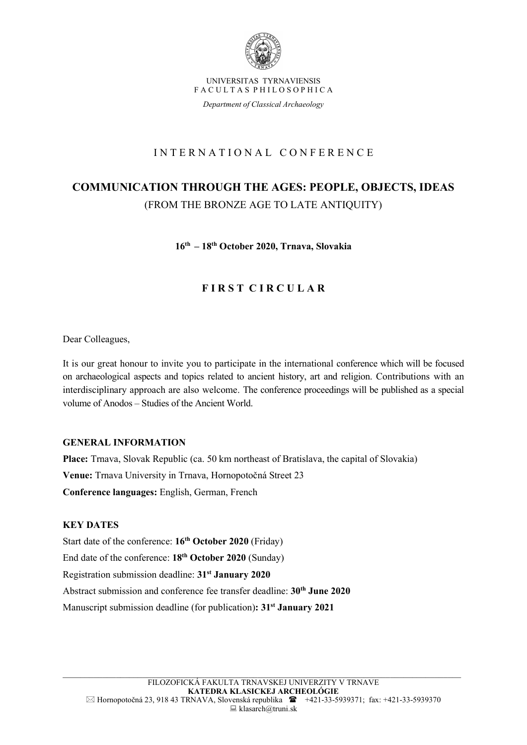

UNIVERSITAS TYRNAVIENSIS F A C U L T A S P H I L O S O P H I C A

Department of Classical Archaeology

## I N T E R N A T I O N A L C O N F E R E N C E

# COMMUNICATION THROUGH THE AGES: PEOPLE, OBJECTS, IDEAS (FROM THE BRONZE AGE TO LATE ANTIQUITY)

16th – 18th October 2020, Trnava, Slovakia

## FIRST CIRCULAR

Dear Colleagues,

It is our great honour to invite you to participate in the international conference which will be focused on archaeological aspects and topics related to ancient history, art and religion. Contributions with an interdisciplinary approach are also welcome. The conference proceedings will be published as a special volume of Anodos – Studies of the Ancient World.

### GENERAL INFORMATION

Place: Trnava, Slovak Republic (ca. 50 km northeast of Bratislava, the capital of Slovakia) Venue: Trnava University in Trnava, Hornopotočná Street 23 Conference languages: English, German, French

### KEY DATES

Start date of the conference: 16<sup>th</sup> October 2020 (Friday) End date of the conference: 18<sup>th</sup> October 2020 (Sunday) Registration submission deadline: 31<sup>st</sup> January 2020 Abstract submission and conference fee transfer deadline: 30<sup>th</sup> June 2020 Manuscript submission deadline (for publication): 31<sup>st</sup> January 2021